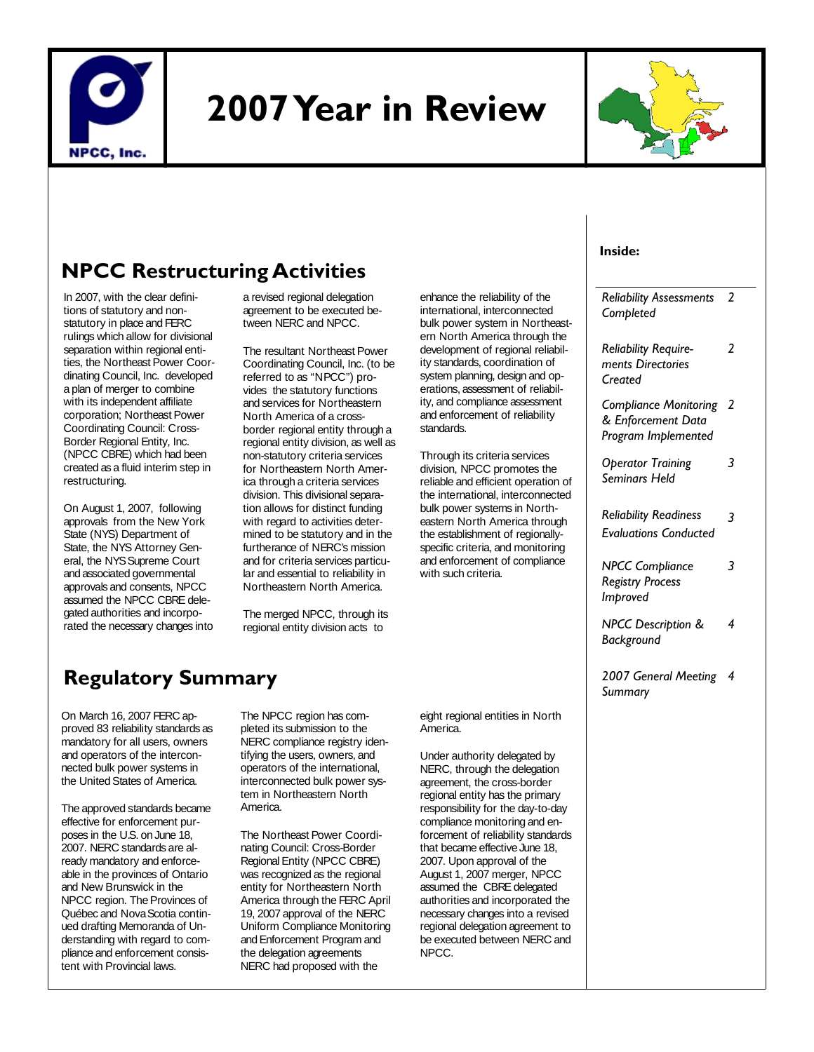

# **2007 Year in Review**



# **NPCC Restructuring Activities**

In 2007, with the clear definitions of statutory and nonstatutory in place and FERC rulings which allow for divisional separation within regional entities, the Northeast Power Coordinating Council, Inc. developed a plan of merger to combine with its independent affiliate corporation; Northeast Power Coordinating Council: Cross-Border Regional Entity, Inc. (NPCC CBRE) which had been created as a fluid interim step in restructuring.

On August 1, 2007, following approvals from the New York State (NYS) Department of State, the NYS Attorney General, the NYS Supreme Court and associated governmental approvals and consents, NPCC assumed the NPCC CBRE delegated authorities and incorporated the necessary changes into a revised regional delegation agreement to be executed between NERC and NPCC.

The resultant Northeast Power Coordinating Council, Inc. (to be referred to as "NPCC") provides the statutory functions and services for Northeastern North America of a crossborder regional entity through a regional entity division, as well as non-statutory criteria services for Northeastern North America through a criteria services division. This divisional separation allows for distinct funding with regard to activities determined to be statutory and in the furtherance of NERC's mission and for criteria services particular and essential to reliability in Northeastern North America.

The merged NPCC, through its regional entity division acts to

# **Regulatory Summary**

On March 16, 2007 FERC approved 83 reliability standards as mandatory for all users, owners and operators of the interconnected bulk power systems in the United States of America.

The approved standards became effective for enforcement purposes in the U.S. on June 18, 2007. NERC standards are already mandatory and enforceable in the provinces of Ontario and New Brunswick in the NPCC region. The Provinces of Québec and Nova Scotia continued drafting Memoranda of Understanding with regard to compliance and enforcement consistent with Provincial laws.

The NPCC region has completed its submission to the NERC compliance registry identifying the users, owners, and operators of the international, interconnected bulk power system in Northeastern North America.

The Northeast Power Coordinating Council: Cross-Border Regional Entity (NPCC CBRE) was recognized as the regional entity for Northeastern North America through the FERC April 19, 2007 approval of the NERC Uniform Compliance Monitoring and Enforcement Program and the delegation agreements NERC had proposed with the

eight regional entities in North America.

enhance the reliability of the international, interconnected bulk power system in Northeastern North America through the development of regional reliability standards, coordination of system planning, design and operations, assessment of reliability, and compliance assessment and enforcement of reliability

Through its criteria services division, NPCC promotes the reliable and efficient operation of the international, interconnected bulk power systems in Northeastern North America through the establishment of regionallyspecific criteria, and monitoring and enforcement of compliance

standards.

with such criteria.

Under authority delegated by NERC, through the delegation agreement, the cross-border regional entity has the primary responsibility for the day-to-day compliance monitoring and enforcement of reliability standards that became effective June 18, 2007. Upon approval of the August 1, 2007 merger, NPCC assumed the CBRE delegated authorities and incorporated the necessary changes into a revised regional delegation agreement to be executed between NERC and NPCC.

#### **Inside:**

| <b>Reliability Assessments</b><br>Completed                               | 2 |
|---------------------------------------------------------------------------|---|
| <b>Reliability Require-</b><br>ments Directories<br>Created               | 2 |
| <b>Compliance Monitoring</b><br>& Enforcement Data<br>Program Implemented | 2 |
| <b>Operator Training</b><br>Seminars Held                                 | 3 |
| <b>Reliability Readiness</b><br><b>Evaluations Conducted</b>              | 3 |
| <b>NPCC Compliance</b><br><b>Registry Process</b><br>Improved             | 3 |
| NPCC Description &<br>Background                                          | 4 |
| 2007 General Meeting<br>Summary                                           | 4 |
|                                                                           |   |
|                                                                           |   |
|                                                                           |   |
|                                                                           |   |
|                                                                           |   |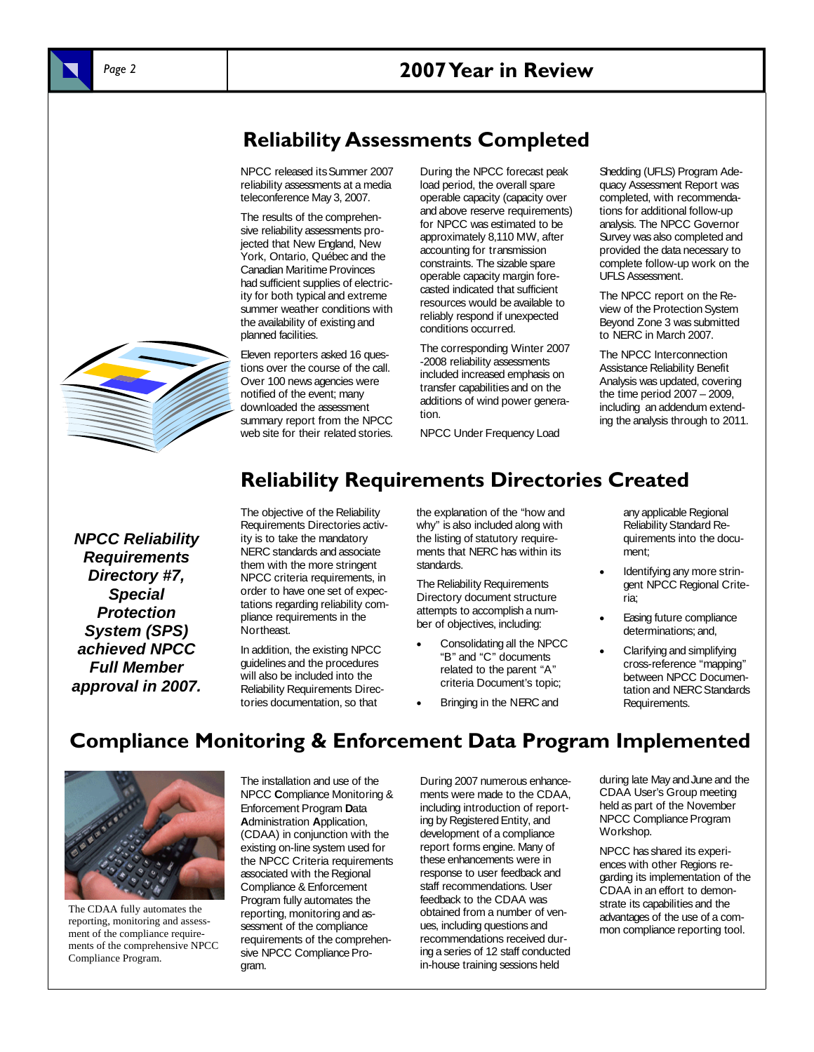## *Page 2* **2007 Year in Review**



**Reliability Assessments Completed** 

NPCC released its Summer 2007 reliability assessments at a media teleconference May 3, 2007.

The results of the comprehensive reliability assessments projected that New England, New York, Ontario, Québec and the Canadian Maritime Provinces had sufficient supplies of electricity for both typical and extreme summer weather conditions with the availability of existing and planned facilities.

Eleven reporters asked 16 questions over the course of the call. Over 100 news agencies were notified of the event; many downloaded the assessment summary report from the NPCC web site for their related stories. During the NPCC forecast peak load period, the overall spare operable capacity (capacity over and above reserve requirements) for NPCC was estimated to be approximately 8,110 MW, after accounting for transmission constraints. The sizable spare operable capacity margin forecasted indicated that sufficient resources would be available to reliably respond if unexpected conditions occurred.

The corresponding Winter 2007 -2008 reliability assessments included increased emphasis on transfer capabilities and on the additions of wind power generation.

NPCC Under Frequency Load

Shedding (UFLS) Program Adequacy Assessment Report was completed, with recommendations for additional follow-up analysis. The NPCC Governor Survey was also completed and provided the data necessary to complete follow-up work on the UFLS Assessment.

The NPCC report on the Review of the Protection System Beyond Zone 3 was submitted to NERC in March 2007.

The NPCC Interconnection Assistance Reliability Benefit Analysis was updated, covering the time period 2007 – 2009, including an addendum extending the analysis through to 2011.

*NPCC Reliability Requirements Directory #7, Special Protection System (SPS) achieved NPCC Full Member approval in 2007.* 

# **Reliability Requirements Directories Created**

The objective of the Reliability Requirements Directories activity is to take the mandatory NERC standards and associate them with the more stringent NPCC criteria requirements, in order to have one set of expectations regarding reliability compliance requirements in the Northeast.

In addition, the existing NPCC guidelines and the procedures will also be included into the Reliability Requirements Directories documentation, so that

the explanation of the "how and why" is also included along with the listing of statutory requirements that NERC has within its standards.

The Reliability Requirements Directory document structure attempts to accomplish a number of objectives, including:

- Consolidating all the NPCC "B" and "C" documents related to the parent "A" criteria Document's topic;
- Bringing in the NERC and

any applicable Regional Reliability Standard Requirements into the document;

- Identifying any more stringent NPCC Regional Criteria;
- Easing future compliance determinations; and,
- Clarifying and simplifying cross-reference "mapping" between NPCC Documentation and NERC Standards Requirements.

# **Compliance Monitoring & Enforcement Data Program Implemented**



The CDAA fully automates the reporting, monitoring and assessment of the compliance requirements of the comprehensive NPCC Compliance Program.

The installation and use of the NPCC **C**ompliance Monitoring & Enforcement Program **D**ata **A**dministration **A**pplication, (CDAA) in conjunction with the existing on-line system used for the NPCC Criteria requirements associated with the Regional Compliance & Enforcement Program fully automates the reporting, monitoring and assessment of the compliance requirements of the comprehensive NPCC Compliance Program.

During 2007 numerous enhancements were made to the CDAA, including introduction of reporting by Registered Entity, and development of a compliance report forms engine. Many of these enhancements were in response to user feedback and staff recommendations. User feedback to the CDAA was obtained from a number of venues, including questions and recommendations received during a series of 12 staff conducted in-house training sessions held

during late May and June and the CDAA User's Group meeting held as part of the November NPCC Compliance Program Workshop.

NPCC has shared its experiences with other Regions regarding its implementation of the CDAA in an effort to demonstrate its capabilities and the advantages of the use of a common compliance reporting tool.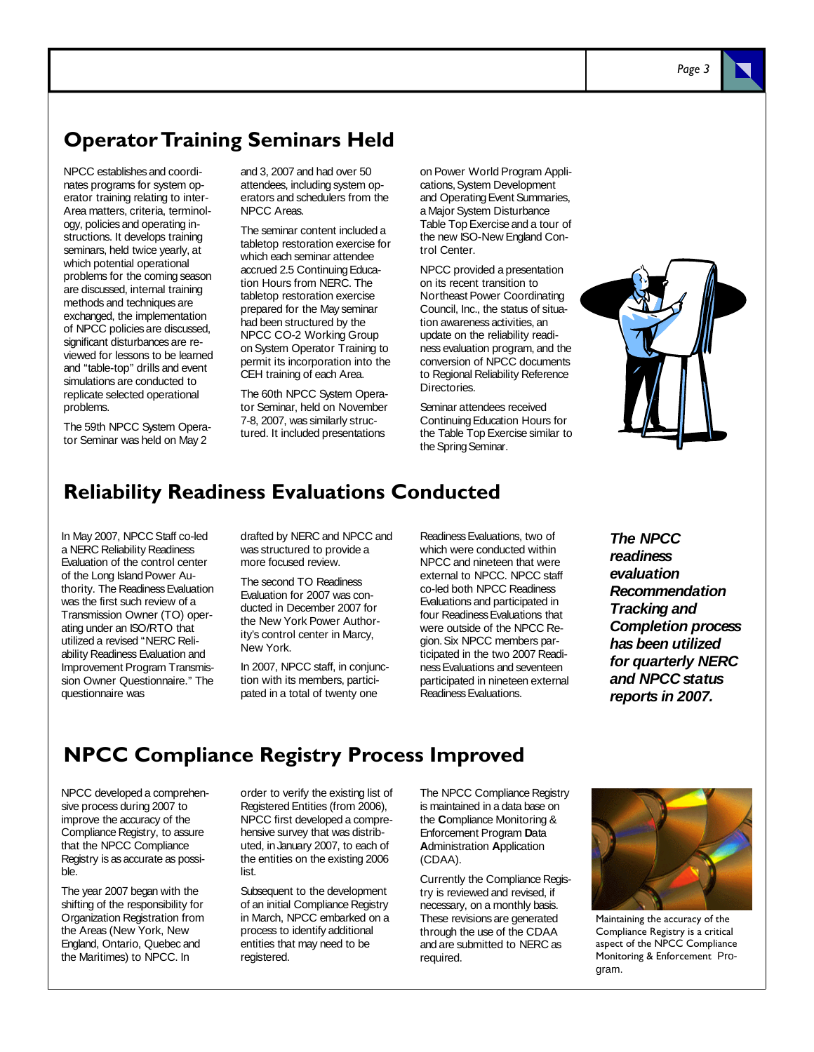#### **Operator Training Seminars Held**

NPCC establishes and coordinates programs for system operator training relating to inter-Area matters, criteria, terminology, policies and operating instructions. It develops training seminars, held twice yearly, at which potential operational problems for the coming season are discussed, internal training methods and techniques are exchanged, the implementation of NPCC policies are discussed, significant disturbances are reviewed for lessons to be learned and "table-top" drills and event simulations are conducted to replicate selected operational problems.

The 59th NPCC System Operator Seminar was held on May 2

and 3, 2007 and had over 50 attendees, including system operators and schedulers from the NPCC Areas.

The seminar content included a tabletop restoration exercise for which each seminar attendee accrued 2.5 Continuing Education Hours from NERC. The tabletop restoration exercise prepared for the May seminar had been structured by the NPCC CO-2 Working Group on System Operator Training to permit its incorporation into the CEH training of each Area.

The 60th NPCC System Operator Seminar, held on November 7-8, 2007, was similarly structured. It included presentations

on Power World Program Applications, System Development and Operating Event Summaries, a Major System Disturbance Table Top Exercise and a tour of the new ISO-New England Control Center.

NPCC provided a presentation on its recent transition to Northeast Power Coordinating Council, Inc., the status of situation awareness activities, an update on the reliability readiness evaluation program, and the conversion of NPCC documents to Regional Reliability Reference **Directories** 

Seminar attendees received Continuing Education Hours for the Table Top Exercise similar to the Spring Seminar.



#### **Reliability Readiness Evaluations Conducted**

In May 2007, NPCC Staff co-led a NERC Reliability Readiness Evaluation of the control center of the Long Island Power Authority. The Readiness Evaluation was the first such review of a Transmission Owner (TO) operating under an ISO/RTO that utilized a revised "NERC Reliability Readiness Evaluation and Improvement Program Transmission Owner Questionnaire." The questionnaire was

drafted by NERC and NPCC and was structured to provide a more focused review.

The second TO Readiness Evaluation for 2007 was conducted in December 2007 for the New York Power Authority's control center in Marcy, New York.

In 2007, NPCC staff, in conjunction with its members, participated in a total of twenty one

Readiness Evaluations, two of which were conducted within NPCC and nineteen that were external to NPCC. NPCC staff co-led both NPCC Readiness Evaluations and participated in four Readiness Evaluations that were outside of the NPCC Region. Six NPCC members participated in the two 2007 Readiness Evaluations and seventeen participated in nineteen external Readiness Evaluations.

*The NPCC readiness evaluation Recommendation Tracking and Completion process has been utilized for quarterly NERC and NPCC status reports in 2007.* 

#### **NPCC Compliance Registry Process Improved**

NPCC developed a comprehensive process during 2007 to improve the accuracy of the Compliance Registry, to assure that the NPCC Compliance Registry is as accurate as possible.

The year 2007 began with the shifting of the responsibility for Organization Registration from the Areas (New York, New England, Ontario, Quebec and the Maritimes) to NPCC. In

order to verify the existing list of Registered Entities (from 2006), NPCC first developed a comprehensive survey that was distributed, in January 2007, to each of the entities on the existing 2006 list.

Subsequent to the development of an initial Compliance Registry in March, NPCC embarked on a process to identify additional entities that may need to be registered.

The NPCC Compliance Registry is maintained in a data base on the **C**ompliance Monitoring & Enforcement Program **D**ata **A**dministration **A**pplication (CDAA).

Currently the Compliance Registry is reviewed and revised, if necessary, on a monthly basis. These revisions are generated through the use of the CDAA and are submitted to NERC as required.



Maintaining the accuracy of the Compliance Registry is a critical aspect of the NPCC Compliance Monitoring & Enforcement Program.